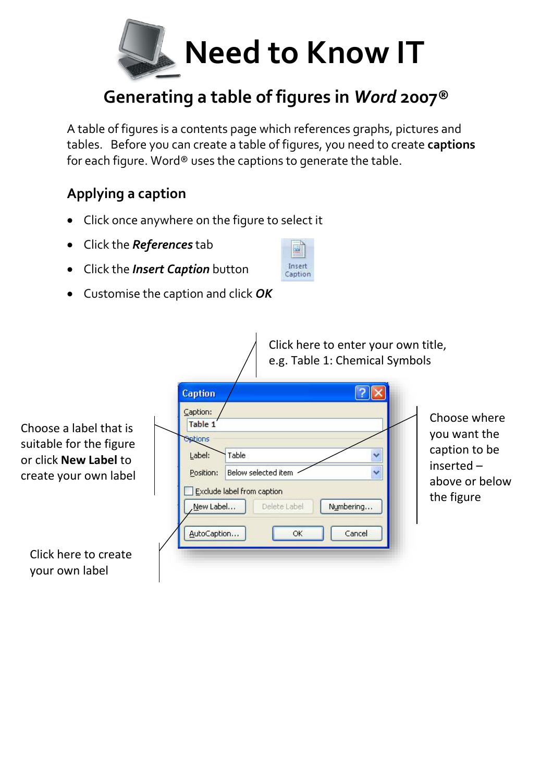

## **Generating a table of figures in** *Word* **2007®**

A table of figures is a contents page which references graphs, pictures and tables. Before you can create a table of figures, you need to create **captions** for each figure. Word® uses the captions to generate the table.

## **Applying a caption**

- Click once anywhere on the figure to select it
- Click the *References* tab
- Click the *Insert Caption* button



Customise the caption and click *OK* 

|                                                                                                            | Click here to enter your own title,<br>e.g. Table 1: Chemical Symbols                                                                                                                                                |                                                                                               |
|------------------------------------------------------------------------------------------------------------|----------------------------------------------------------------------------------------------------------------------------------------------------------------------------------------------------------------------|-----------------------------------------------------------------------------------------------|
| Choose a label that is<br>suitable for the figure<br>or click <b>New Label</b> to<br>create your own label | <b>Caption</b><br>Caption:<br>Table 1<br>Options<br>Table<br>Label:<br>Below selected item<br>v<br>Position:<br>Exclude label from caption<br>New Label<br>Delete Label<br>Numbering<br>AutoCaption<br>OK.<br>Cancel | Choose where<br>you want the<br>caption to be<br>inserted $-$<br>above or below<br>the figure |
| Click here to create<br>your own label                                                                     |                                                                                                                                                                                                                      |                                                                                               |